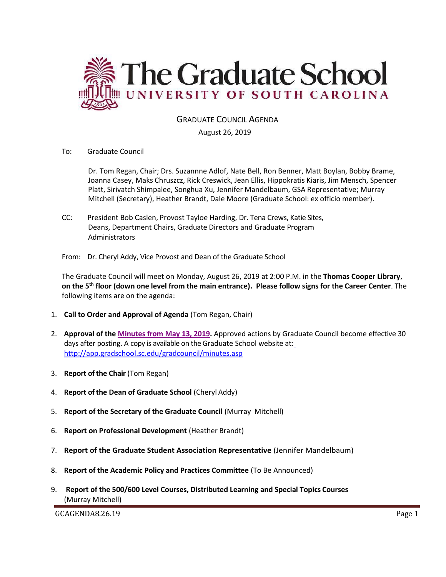

## GRADUATE COUNCIL AGENDA

## August 26, 2019

To: Graduate Council

Dr. Tom Regan, Chair; Drs. Suzannne Adlof, Nate Bell, Ron Benner, Matt Boylan, Bobby Brame, Joanna Casey, Maks Chruszcz, Rick Creswick, Jean Ellis, Hippokratis Kiaris, Jim Mensch, Spencer Platt, Sirivatch Shimpalee, Songhua Xu, Jennifer Mandelbaum, GSA Representative; Murray Mitchell (Secretary), Heather Brandt, Dale Moore (Graduate School: ex officio member).

- CC: President Bob Caslen, Provost Tayloe Harding, Dr. Tena Crews, Katie Sites, Deans, Department Chairs, Graduate Directors and Graduate Program **Administrators**
- From: Dr. Cheryl Addy, Vice Provost and Dean of the Graduate School

The Graduate Council will meet on Monday, August 26, 2019 at 2:00 P.M. in the **Thomas Cooper Library**, **on the 5th floor (down one level from the main entrance). Please follow signs for the Career Center**. The following items are on the agenda:

- 1. **Call to Order and Approval of Agenda** (Tom Regan, Chair)
- 2. **Approval of the [Minutes from May 13, 2019.](GCMINUTESMAY132019%20MM.pdf)** Approved actions by Graduate Council become effective 30 days after posting. A copy is available on the Graduate School website at[:](http://app.gradschool.sc.edu/gradcouncil/minutes.asp) <http://app.gradschool.sc.edu/gradcouncil/minutes.asp>
- 3. **Report of the Chair** (Tom Regan)
- 4. **Report of the Dean of Graduate School** (Cheryl Addy)
- 5. **Report of the Secretary of the Graduate Council** (Murray Mitchell)
- 6. **Report on Professional Development** (Heather Brandt)
- 7. **Report of the Graduate Student Association Representative** (Jennifer Mandelbaum)
- 8. **Report of the Academic Policy and Practices Committee** (To Be Announced)
- 9. **Report of the 500/600 Level Courses, Distributed Learning and Special Topics Courses** (Murray Mitchell)

GCAGENDA8.26.19 Page 1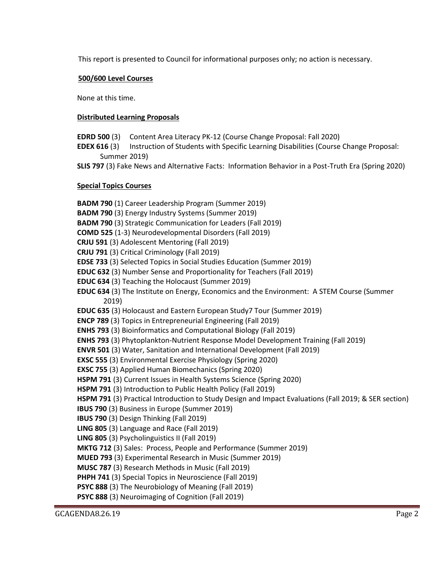This report is presented to Council for informational purposes only; no action is necessary.

## **500/600 Level Courses**

None at this time.

## **Distributed Learning Proposals**

**EDRD 500** (3) Content Area Literacy PK-12 (Course Change Proposal: Fall 2020)

**EDEX 616** (3) Instruction of Students with Specific Learning Disabilities (Course Change Proposal: Summer 2019)

**SLIS 797** (3) Fake News and Alternative Facts: Information Behavior in a Post-Truth Era (Spring 2020)

## **Special Topics Courses**

**BADM 790** (1) Career Leadership Program (Summer 2019) **BADM 790** (3) Energy Industry Systems (Summer 2019) **BADM 790** (3) Strategic Communication for Leaders (Fall 2019) **COMD 525** (1-3) Neurodevelopmental Disorders (Fall 2019) **CRJU 591** (3) Adolescent Mentoring (Fall 2019) **CRJU 791** (3) Critical Criminology (Fall 2019) **EDSE 733** (3) Selected Topics in Social Studies Education (Summer 2019) **EDUC 632** (3) Number Sense and Proportionality for Teachers (Fall 2019) **EDUC 634** (3) Teaching the Holocaust (Summer 2019) **EDUC 634** (3) The Institute on Energy, Economics and the Environment: A STEM Course (Summer 2019) **EDUC 635** (3) Holocaust and Eastern European Study7 Tour (Summer 2019) **ENCP 789** (3) Topics in Entrepreneurial Engineering (Fall 2019) **ENHS 793** (3) Bioinformatics and Computational Biology (Fall 2019) **ENHS 793** (3) Phytoplankton-Nutrient Response Model Development Training (Fall 2019) **ENVR 501** (3) Water, Sanitation and International Development (Fall 2019) **EXSC 555** (3) Environmental Exercise Physiology (Spring 2020) **EXSC 755** (3) Applied Human Biomechanics (Spring 2020) **HSPM 791** (3) Current Issues in Health Systems Science (Spring 2020) **HSPM 791** (3) Introduction to Public Health Policy (Fall 2019) **HSPM 791** (3) Practical Introduction to Study Design and Impact Evaluations (Fall 2019; & SER section) **IBUS 790** (3) Business in Europe (Summer 2019) **IBUS 790** (3) Design Thinking (Fall 2019) **LING 805** (3) Language and Race (Fall 2019) **LING 805** (3) Psycholinguistics II (Fall 2019) **MKTG 712** (3) Sales: Process, People and Performance (Summer 2019) **MUED 793** (3) Experimental Research in Music (Summer 2019) **MUSC 787** (3) Research Methods in Music (Fall 2019) **PHPH 741** (3) Special Topics in Neuroscience (Fall 2019) **PSYC 888** (3) The Neurobiology of Meaning (Fall 2019) **PSYC 888** (3) Neuroimaging of Cognition (Fall 2019)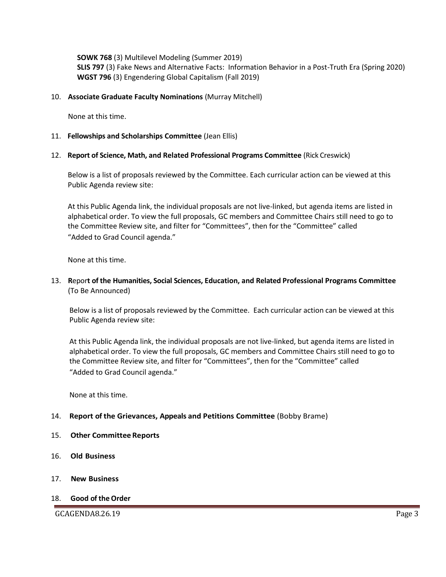**SOWK 768** (3) Multilevel Modeling (Summer 2019) **SLIS 797** (3) Fake News and Alternative Facts: Information Behavior in a Post-Truth Era (Spring 2020) **WGST 796** (3) Engendering Global Capitalism (Fall 2019)

#### 10. **Associate Graduate Faculty Nominations** (Murray Mitchell)

None at this time.

#### 11. **Fellowships and Scholarships Committee** (Jean Ellis)

#### 12. **Report of Science, Math, and Related Professional Programs Committee** (Rick Creswick)

Below is a list of proposals reviewed by the Committee. Each curricular action can be viewed at this Public Agenda review site:

At this Public Agenda link, the individual proposals are not live-linked, but agenda items are listed in alphabetical order. To view the full proposals, GC members and Committee Chairs still need to go to the Committee Review site, and filter for "Committees", then for the "Committee" called "Added to Grad Council agenda."

None at this time.

## 13. **R**epor**t of the Humanities, Social Sciences, Education, and Related Professional Programs Committee**  (To Be Announced)

Below is a list of proposals reviewed by the Committee. Each curricular action can be viewed at this Public Agenda review site:

At this Public Agenda link, the individual proposals are not live-linked, but agenda items are listed in alphabetical order. To view the full proposals, GC members and Committee Chairs still need to go to the Committee Review site, and filter for "Committees", then for the "Committee" called "Added to Grad Council agenda."

None at this time.

#### 14. **Report of the Grievances, Appeals and Petitions Committee** (Bobby Brame)

- 15. **Other Committee Reports**
- 16. **Old Business**
- 17. **New Business**
- 18. **Good of the Order**

GCAGENDA8.26.19 Page 3